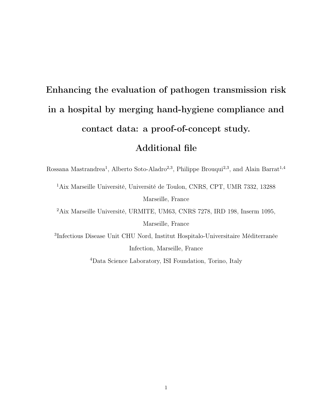## Enhancing the evaluation of pathogen transmission risk in a hospital by merging hand-hygiene compliance and contact data: a proof-of-concept study.

## Additional file

Rossana Mastrandrea<sup>1</sup>, Alberto Soto-Aladro<sup>2,3</sup>, Philippe Brouqui<sup>2,3</sup>, and Alain Barrat<sup>1,4</sup>

<sup>1</sup>Aix Marseille Université, Université de Toulon, CNRS, CPT, UMR 7332, 13288 Marseille, France

<sup>2</sup>Aix Marseille Université, URMITE, UM63, CNRS 7278, IRD 198, Inserm 1095, Marseille, France

3 Infectious Disease Unit CHU Nord, Institut Hospitalo-Universitaire Méditerranée Infection, Marseille, France

<sup>4</sup>Data Science Laboratory, ISI Foundation, Torino, Italy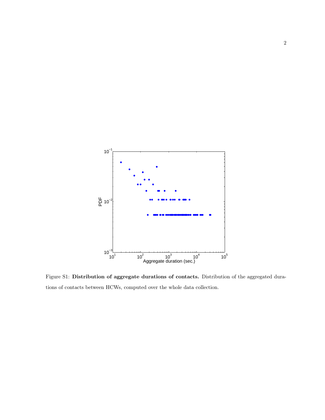

Figure S1: Distribution of aggregate durations of contacts. Distribution of the aggregated durations of contacts between HCWs, computed over the whole data collection.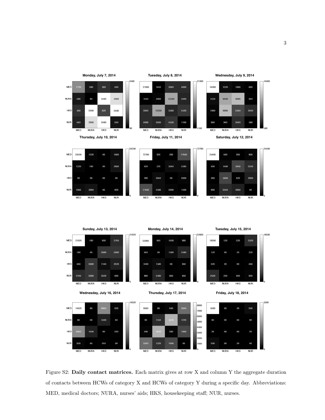

Figure S2: Daily contact matrices. Each matrix gives at row X and column Y the aggregate duration of contacts between HCWs of category X and HCWs of category Y during a specific day. Abbreviations: MED, medical doctors; NURA, nurses' aids; HKS, housekeeping staff; NUR, nurses.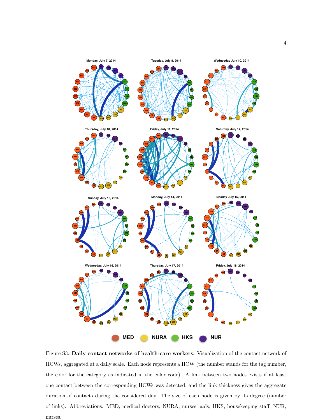

Figure S3: Daily contact networks of health-care workers. Visualization of the contact network of HCWs, aggregated at a daily scale. Each node represents a HCW (the number stands for the tag number, the color for the category as indicated in the color code). A link between two nodes exists if at least one contact between the corresponding HCWs was detected, and the link thickness gives the aggregate duration of contacts during the considered day. The size of each node is given by its degree (number of links). Abbreviations: MED, medical doctors; NURA, nurses' aids; HKS, housekeeping staff; NUR, nurses.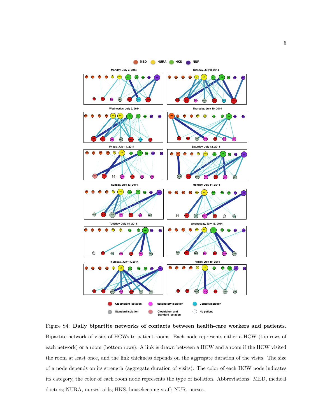

Figure S4: Daily bipartite networks of contacts between health-care workers and patients. Bipartite network of visits of HCWs to patient rooms. Each node represents either a HCW (top rows of each network) or a room (bottom rows). A link is drawn between a HCW and a room if the HCW visited the room at least once, and the link thickness depends on the aggregate duration of the visits. The size of a node depends on its strength (aggregate duration of visits). The color of each HCW node indicates its category, the color of each room node represents the type of isolation. Abbreviations: MED, medical doctors; NURA, nurses' aids; HKS, housekeeping staff; NUR, nurses.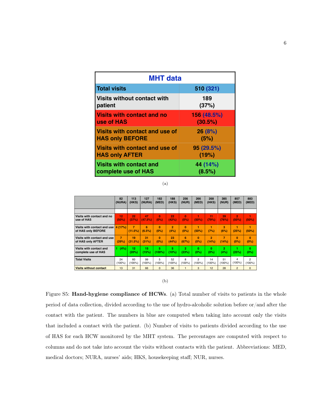| <b>MHT</b> data                    |             |  |  |  |  |
|------------------------------------|-------------|--|--|--|--|
| <b>Total visits</b>                | 510 (321)   |  |  |  |  |
| <b>Visits without contact with</b> | 189         |  |  |  |  |
| patient                            | (37%)       |  |  |  |  |
| <b>Visits with contact and no</b>  | 156 (48.5%) |  |  |  |  |
| use of HAS                         | (30.5%)     |  |  |  |  |
| Visits with contact and use of     | 26(8%)      |  |  |  |  |
| <b>HAS only BEFORE</b>             | (5%)        |  |  |  |  |
| Visits with contact and use of     | 95 (29.5%)  |  |  |  |  |
| <b>HAS only AFTER</b>              | (19%)       |  |  |  |  |
| <b>Visits with contact and</b>     | 44 (14%)    |  |  |  |  |
| complete use of HAS                | (8.5%)      |  |  |  |  |

(a)

|                               | 82             | 113            | 127       | 182       | 188            | 256            | 266            | 268             | 385            | 857            | 883            |
|-------------------------------|----------------|----------------|-----------|-----------|----------------|----------------|----------------|-----------------|----------------|----------------|----------------|
|                               | (NURA)         | (HKS)          | (NURA)    | (MED)     | (HKS)          | (NUR)          | (MED)          | (HKS)           | (NUR)          | (MED)          | (MED)          |
|                               |                |                |           |           |                |                |                |                 |                |                |                |
| Visits with contact and no    | 12             | 22             | 47        | n         | 22             | n              | (50%)          | 11              | 39             | $\overline{2}$ | ۷              |
| use of HAS                    | (50%)          | (37%)          | (47.5%)   | $(0\%)$   | (42%)          | (0%)           |                | (79%)           | (76%)          | (50%)          | (50%)          |
| Visits with contact and use   | 4 (17%)        | $\overline{7}$ | 6         | $\Omega$  | $\overline{2}$ | $\Omega$       | ٠              | ٠               | я              | ٠              | 1              |
| of HAS only BEFORE            |                | (11.5%)        | (6.5%)    | (0%)      | (4%)           | (0%)           | (50%)          | (7%)            | (6%)           | (25%)          | (50%)          |
| Visits with contact and use   | $\overline{7}$ | 19             | 31        | $\Omega$  | 23             | 6              | $\bf{0}$       | $\overline{2}$  | $\overline{7}$ | $\bf{0}$       | $\mathbf{0}$   |
| of HAS only AFTER             | (29%)          | (31.5%)        | (31%)     | (0%)      | (44%)          | (67%)          | (0%)           | (14%)           | (14%)          | (0%)           | (0%)           |
| Visits with contact and       | (4%).          | 12             | 15        | 5.        | 5              | $\overline{2}$ | $\bf{0}$       | $\bf{0}$        | $\overline{2}$ | 1              | $\mathbf{0}$   |
| complete use of HAS           |                | (20%)          | (15%)     | $(100\%)$ | (10%)          | (23%)          | $(0\%)$        | (0%)            | (4%)           | (25%)          | (0%)           |
| <b>Total Visits</b>           | 24             | 60             | 99        | 5         | 52             | R              | $\mathfrak{p}$ | 14              | 51             | 4              | $\mathfrak{p}$ |
|                               | $(100\%)$      | $(100\%)$      | $(100\%)$ | $(100\%)$ | (100%)         | $(100\%)$      | $(100\%)$      | $(100\%)$       | (100%)         | $(100\%)$      | $(100\%)$      |
| <b>Visits without contact</b> | 13             | 31             | 66        | $\Omega$  | 36             | $\mathbf{1}$   | 3              | 12 <sup>2</sup> | 28             | $\overline{2}$ | $\mathbf{0}$   |

(b)

Figure S5: Hand-hygiene compliance of HCWs. (a) Total number of visits to patients in the whole period of data collection, divided according to the use of hydro-alcoholic solution before or/and after the contact with the patient. The numbers in blue are computed when taking into account only the visits that included a contact with the patient. (b) Number of visits to patients divided according to the use of HAS for each HCW monitored by the MHT system. The percentages are computed with respect to columns and do not take into account the visits without contacts with the patient. Abbreviations: MED, medical doctors; NURA, nurses' aids; HKS, housekeeping staff; NUR, nurses.